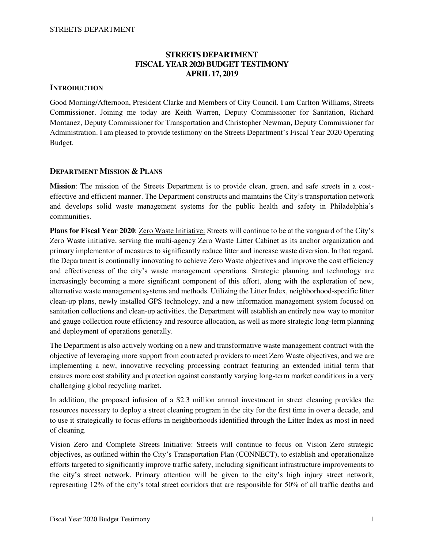# **STREETS DEPARTMENT FISCAL YEAR 2020 BUDGET TESTIMONY APRIL 17, 2019**

# **INTRODUCTION**

Good Morning/Afternoon, President Clarke and Members of City Council. I am Carlton Williams, Streets Commissioner. Joining me today are Keith Warren, Deputy Commissioner for Sanitation, Richard Montanez, Deputy Commissioner for Transportation and Christopher Newman, Deputy Commissioner for Administration. I am pleased to provide testimony on the Streets Department's Fiscal Year 2020 Operating Budget.

# **DEPARTMENT MISSION & PLANS**

**Mission**: The mission of the Streets Department is to provide clean, green, and safe streets in a costeffective and efficient manner. The Department constructs and maintains the City's transportation network and develops solid waste management systems for the public health and safety in Philadelphia's communities.

**Plans for Fiscal Year 2020**: Zero Waste Initiative: Streets will continue to be at the vanguard of the City's Zero Waste initiative, serving the multi-agency Zero Waste Litter Cabinet as its anchor organization and primary implementor of measures to significantly reduce litter and increase waste diversion. In that regard, the Department is continually innovating to achieve Zero Waste objectives and improve the cost efficiency and effectiveness of the city's waste management operations. Strategic planning and technology are increasingly becoming a more significant component of this effort, along with the exploration of new, alternative waste management systems and methods. Utilizing the Litter Index, neighborhood-specific litter clean-up plans, newly installed GPS technology, and a new information management system focused on sanitation collections and clean-up activities, the Department will establish an entirely new way to monitor and gauge collection route efficiency and resource allocation, as well as more strategic long-term planning and deployment of operations generally.

The Department is also actively working on a new and transformative waste management contract with the objective of leveraging more support from contracted providers to meet Zero Waste objectives, and we are implementing a new, innovative recycling processing contract featuring an extended initial term that ensures more cost stability and protection against constantly varying long-term market conditions in a very challenging global recycling market.

In addition, the proposed infusion of a \$2.3 million annual investment in street cleaning provides the resources necessary to deploy a street cleaning program in the city for the first time in over a decade, and to use it strategically to focus efforts in neighborhoods identified through the Litter Index as most in need of cleaning.

Vision Zero and Complete Streets Initiative: Streets will continue to focus on Vision Zero strategic objectives, as outlined within the City's Transportation Plan (CONNECT), to establish and operationalize efforts targeted to significantly improve traffic safety, including significant infrastructure improvements to the city's street network. Primary attention will be given to the city's high injury street network, representing 12% of the city's total street corridors that are responsible for 50% of all traffic deaths and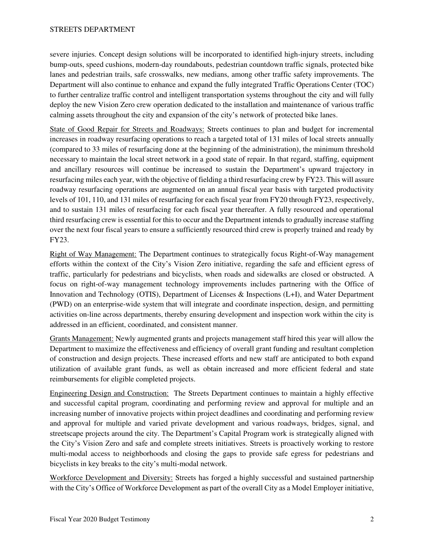severe injuries. Concept design solutions will be incorporated to identified high-injury streets, including bump-outs, speed cushions, modern-day roundabouts, pedestrian countdown traffic signals, protected bike lanes and pedestrian trails, safe crosswalks, new medians, among other traffic safety improvements. The Department will also continue to enhance and expand the fully integrated Traffic Operations Center (TOC) to further centralize traffic control and intelligent transportation systems throughout the city and will fully deploy the new Vision Zero crew operation dedicated to the installation and maintenance of various traffic calming assets throughout the city and expansion of the city's network of protected bike lanes.

State of Good Repair for Streets and Roadways: Streets continues to plan and budget for incremental increases in roadway resurfacing operations to reach a targeted total of 131 miles of local streets annually (compared to 33 miles of resurfacing done at the beginning of the administration), the minimum threshold necessary to maintain the local street network in a good state of repair. In that regard, staffing, equipment and ancillary resources will continue be increased to sustain the Department's upward trajectory in resurfacing miles each year, with the objective of fielding a third resurfacing crew by FY23. This will assure roadway resurfacing operations are augmented on an annual fiscal year basis with targeted productivity levels of 101, 110, and 131 miles of resurfacing for each fiscal year from FY20 through FY23, respectively, and to sustain 131 miles of resurfacing for each fiscal year thereafter. A fully resourced and operational third resurfacing crew is essential for this to occur and the Department intends to gradually increase staffing over the next four fiscal years to ensure a sufficiently resourced third crew is properly trained and ready by FY23.

Right of Way Management: The Department continues to strategically focus Right-of-Way management efforts within the context of the City's Vision Zero initiative, regarding the safe and efficient egress of traffic, particularly for pedestrians and bicyclists, when roads and sidewalks are closed or obstructed. A focus on right-of-way management technology improvements includes partnering with the Office of Innovation and Technology (OTIS), Department of Licenses & Inspections (L+I), and Water Department (PWD) on an enterprise-wide system that will integrate and coordinate inspection, design, and permitting activities on-line across departments, thereby ensuring development and inspection work within the city is addressed in an efficient, coordinated, and consistent manner.

Grants Management: Newly augmented grants and projects management staff hired this year will allow the Department to maximize the effectiveness and efficiency of overall grant funding and resultant completion of construction and design projects. These increased efforts and new staff are anticipated to both expand utilization of available grant funds, as well as obtain increased and more efficient federal and state reimbursements for eligible completed projects.

Engineering Design and Construction: The Streets Department continues to maintain a highly effective and successful capital program, coordinating and performing review and approval for multiple and an increasing number of innovative projects within project deadlines and coordinating and performing review and approval for multiple and varied private development and various roadways, bridges, signal, and streetscape projects around the city. The Department's Capital Program work is strategically aligned with the City's Vision Zero and safe and complete streets initiatives. Streets is proactively working to restore multi-modal access to neighborhoods and closing the gaps to provide safe egress for pedestrians and bicyclists in key breaks to the city's multi-modal network.

Workforce Development and Diversity: Streets has forged a highly successful and sustained partnership with the City's Office of Workforce Development as part of the overall City as a Model Employer initiative,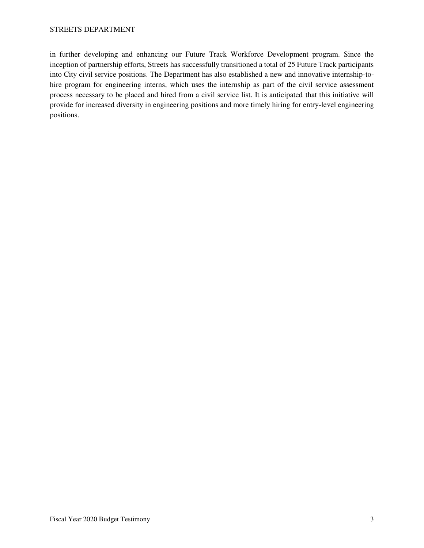in further developing and enhancing our Future Track Workforce Development program. Since the inception of partnership efforts, Streets has successfully transitioned a total of 25 Future Track participants into City civil service positions. The Department has also established a new and innovative internship-tohire program for engineering interns, which uses the internship as part of the civil service assessment process necessary to be placed and hired from a civil service list. It is anticipated that this initiative will provide for increased diversity in engineering positions and more timely hiring for entry-level engineering positions.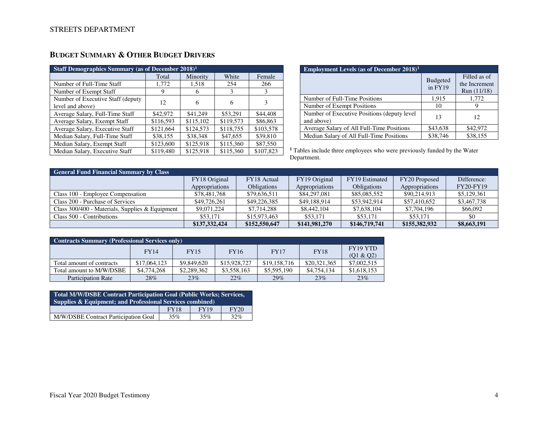| <b>Staff Demographics Summary (as of December 2018)<sup>1</sup></b> |           |           |           |           |
|---------------------------------------------------------------------|-----------|-----------|-----------|-----------|
|                                                                     | Total     | Minority  | White     | Female    |
| Number of Full-Time Staff                                           | 1,772     | 1,518     | 254       | 266       |
| Number of Exempt Staff                                              | 9         | 6         | 3         | 3         |
| Number of Executive Staff (deputy                                   | 12        | 6         | 6         | 3         |
| level and above)                                                    |           |           |           |           |
| Average Salary, Full-Time Staff                                     | \$42,972  | \$41,249  | \$53,291  | \$44,408  |
| Average Salary, Exempt Staff                                        | \$116.593 | \$115,102 | \$119.573 | \$86,863  |
| Average Salary, Executive Staff                                     | \$121,664 | \$124,573 | \$118,755 | \$103,578 |
| Median Salary, Full-Time Staff                                      | \$38,155  | \$38,348  | \$47,655  | \$39,810  |
| Median Salary, Exempt Staff                                         | \$123,600 | \$125,918 | \$115,360 | \$87,550  |
| Median Salary, Executive Staff                                      | \$119,480 | \$125,918 | \$115,360 | \$107,823 |

# **BUDGET SUMMARY & OTHER BUDGET DRIVERS**

| <b>Employment Levels (as of December 2018)</b> <sup>1</sup> |                            |                                              |
|-------------------------------------------------------------|----------------------------|----------------------------------------------|
|                                                             | <b>Budgeted</b><br>in FY19 | Filled as of<br>the Increment<br>Run (11/18) |
| Number of Full-Time Positions                               | 1,915                      | 1,772                                        |
| Number of Exempt Positions                                  | 10                         | 9                                            |
| Number of Executive Positions (deputy level)<br>and above)  | 13                         | 12                                           |
| Average Salary of All Full-Time Positions                   | \$43,638                   | \$42,972                                     |
| Median Salary of All Full-Time Positions                    | \$38,746                   | \$38,155                                     |

**1** Tables include three employees who were previously funded by the Water Department.

| <b>General Fund Financial Summary by Class</b>    |                |                    |                |                    |                |                  |
|---------------------------------------------------|----------------|--------------------|----------------|--------------------|----------------|------------------|
|                                                   | FY18 Original  | FY18 Actual        | FY19 Original  | FY19 Estimated     | FY20 Proposed  | Difference:      |
|                                                   | Appropriations | <b>Obligations</b> | Appropriations | <b>Obligations</b> | Appropriations | <b>FY20-FY19</b> |
| Class 100 - Employee Compensation                 | \$78,481,768   | \$79,636,511       | \$84,297,081   | \$85,085,552       | \$90,214,913   | \$5,129,361      |
| Class 200 - Purchase of Services                  | \$49,726,261   | \$49,226,385       | \$49,188,914   | \$53,942,914       | \$57,410,652   | \$3,467,738      |
| Class $300/400$ - Materials, Supplies & Equipment | \$9,071,224    | \$7,714,288        | \$8,442,104    | \$7,638,104        | \$7,704,196    | \$66,092         |
| Class 500 - Contributions                         | \$53,171       | \$15,973,463       | \$53.171       | \$53,171           | \$53,171       | \$0              |
|                                                   | \$137,332,424  | \$152,550,647      | \$141,981,270  | \$146,719,741      | \$155,382,932  | \$8,663,191      |

| <b>Contracts Summary (Professional Services only)</b> |              |             |              |              |              |                              |  |
|-------------------------------------------------------|--------------|-------------|--------------|--------------|--------------|------------------------------|--|
|                                                       | <b>FY14</b>  | <b>FY15</b> | <b>FY16</b>  | <b>FY17</b>  | <b>FY18</b>  | <b>FY19 YTD</b><br>(01 & 02) |  |
| Total amount of contracts                             | \$17,064,123 | \$9,849,620 | \$15,928,727 | \$19,158,716 | \$20,321,365 | \$7,002,515                  |  |
| Total amount to M/W/DSBE                              | \$4,774,268  | \$2,289,362 | \$3,558,163  | \$5,595,190  | \$4,754,134  | \$1,618,153                  |  |
| <b>Participation Rate</b>                             | 28%          | 23%         | 22%          | 29%          | 23%          | 23%                          |  |

| <b>Total M/W/DSBE Contract Participation Goal (Public Works; Services,</b><br>Supplies & Equipment; and Professional Services combined) |  |  |  |  |  |  |
|-----------------------------------------------------------------------------------------------------------------------------------------|--|--|--|--|--|--|
| <b>FY19</b><br><b>FY20</b><br><b>FY18</b>                                                                                               |  |  |  |  |  |  |
| M/W/DSBE Contract Participation Goal<br>35%<br>32%<br>35%                                                                               |  |  |  |  |  |  |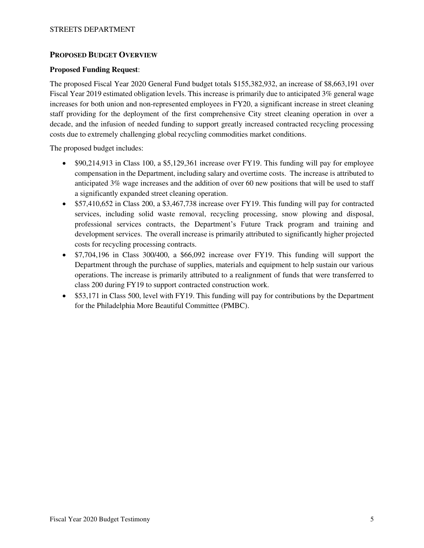# **PROPOSED BUDGET OVERVIEW**

#### **Proposed Funding Request**:

The proposed Fiscal Year 2020 General Fund budget totals \$155,382,932, an increase of \$8,663,191 over Fiscal Year 2019 estimated obligation levels. This increase is primarily due to anticipated 3% general wage increases for both union and non-represented employees in FY20, a significant increase in street cleaning staff providing for the deployment of the first comprehensive City street cleaning operation in over a decade, and the infusion of needed funding to support greatly increased contracted recycling processing costs due to extremely challenging global recycling commodities market conditions.

The proposed budget includes:

- \$90,214,913 in Class 100, a \$5,129,361 increase over FY19. This funding will pay for employee compensation in the Department, including salary and overtime costs. The increase is attributed to anticipated 3% wage increases and the addition of over 60 new positions that will be used to staff a significantly expanded street cleaning operation.
- \$57,410,652 in Class 200, a \$3,467,738 increase over FY19. This funding will pay for contracted services, including solid waste removal, recycling processing, snow plowing and disposal, professional services contracts, the Department's Future Track program and training and development services. The overall increase is primarily attributed to significantly higher projected costs for recycling processing contracts.
- \$7,704,196 in Class 300/400, a \$66,092 increase over FY19. This funding will support the Department through the purchase of supplies, materials and equipment to help sustain our various operations. The increase is primarily attributed to a realignment of funds that were transferred to class 200 during FY19 to support contracted construction work.
- \$53,171 in Class 500, level with FY19. This funding will pay for contributions by the Department for the Philadelphia More Beautiful Committee (PMBC).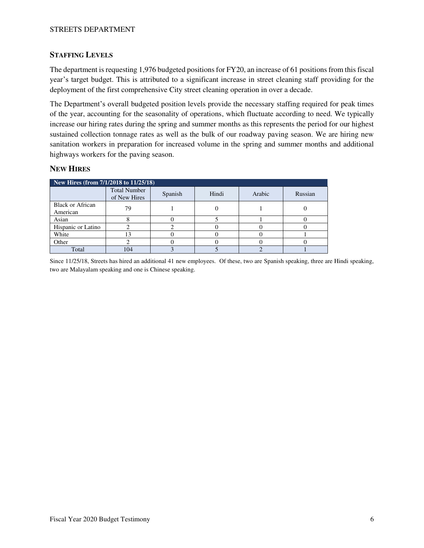#### STREETS DEPARTMENT

# **STAFFING LEVELS**

The department is requesting 1,976 budgeted positions for FY20, an increase of 61 positions from this fiscal year's target budget. This is attributed to a significant increase in street cleaning staff providing for the deployment of the first comprehensive City street cleaning operation in over a decade.

The Department's overall budgeted position levels provide the necessary staffing required for peak times of the year, accounting for the seasonality of operations, which fluctuate according to need. We typically increase our hiring rates during the spring and summer months as this represents the period for our highest sustained collection tonnage rates as well as the bulk of our roadway paving season. We are hiring new sanitation workers in preparation for increased volume in the spring and summer months and additional highways workers for the paving season.

# **NEW HIRES**

|                                     | New Hires (from 7/1/2018 to 11/25/18) |         |       |        |         |  |  |  |
|-------------------------------------|---------------------------------------|---------|-------|--------|---------|--|--|--|
|                                     | <b>Total Number</b><br>of New Hires   | Spanish | Hindi | Arabic | Russian |  |  |  |
| <b>Black or African</b><br>American | 79                                    |         |       |        |         |  |  |  |
| Asian                               |                                       |         |       |        |         |  |  |  |
| Hispanic or Latino                  |                                       |         |       |        |         |  |  |  |
| White                               |                                       |         |       |        |         |  |  |  |
| Other                               |                                       |         |       |        |         |  |  |  |
| Total                               | 104                                   |         |       |        |         |  |  |  |

Since 11/25/18, Streets has hired an additional 41 new employees. Of these, two are Spanish speaking, three are Hindi speaking, two are Malayalam speaking and one is Chinese speaking.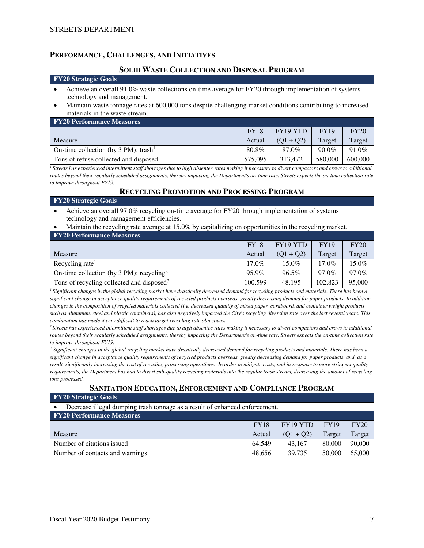## **PERFORMANCE, CHALLENGES, AND INITIATIVES**

#### **SOLID WASTE COLLECTION AND DISPOSAL PROGRAM**

#### **FY20 Strategic Goals**

- Achieve an overall 91.0% waste collections on-time average for FY20 through implementation of systems technology and management.
- Maintain waste tonnage rates at 600,000 tons despite challenging market conditions contributing to increased materials in the waste stream.

| <b>FY20 Performance Measures</b>                 |             |             |          |         |
|--------------------------------------------------|-------------|-------------|----------|---------|
|                                                  | <b>FY18</b> | FY19 YTD    | FY19     | FY20    |
| Measure                                          | Actual      | $(O1 + O2)$ | Target   | Target  |
| On-time collection (by 3 PM): trash <sup>1</sup> | 80.8%       | 87.0%       | $90.0\%$ | 91.0%   |
| Tons of refuse collected and disposed            | 575.095     | 313.472     | 580,000  | 600,000 |

<sup>*I</sup></sup>Streets has experienced intermittent staff shortages due to high absentee rates making it necessary to divert compactors and crews to additional</sup> routes beyond their regularly scheduled assignments, thereby impacting the Department's on-time rate. Streets expects the on-time collection rate to improve throughout FY19.* 

#### **RECYCLING PROMOTION AND PROCESSING PROGRAM**

| <b>FY20 Strategic Goals</b>                                                                                                              |             |                 |             |          |  |
|------------------------------------------------------------------------------------------------------------------------------------------|-------------|-----------------|-------------|----------|--|
| Achieve an overall 97.0% recycling on-time average for FY20 through implementation of systems<br>technology and management efficiencies. |             |                 |             |          |  |
| Maintain the recycling rate average at 15.0% by capitalizing on opportunities in the recycling market.                                   |             |                 |             |          |  |
| <b>FY20 Performance Measures</b>                                                                                                         |             |                 |             |          |  |
|                                                                                                                                          | <b>FY18</b> | <b>FY19 YTD</b> | <b>FY19</b> | FY20     |  |
| Measure                                                                                                                                  | Actual      | $(Q1 + Q2)$     | Target      | Target   |  |
| Recycling rate <sup>1</sup>                                                                                                              | 17.0%       | 15.0%           | 17.0%       | $15.0\%$ |  |

On-time collection (by 3 PM): recycling<sup>2</sup> 95.9% 96.5% 97.0% 97.0% Tons of recycling collected and disposed<sup>3</sup> 100,599 48,195 102,823 95,000 *<sup>1</sup>Significant changes in the global recycling market have drastically decreased demand for recycling products and materials. There has been a significant change in acceptance quality requirements of recycled products overseas, greatly decreasing demand for paper products. In addition, changes in the composition of recycled materials collected (i.e. decreased quantity of mixed paper, cardboard, and container weight products* 

*such as aluminum, steel and plastic containers), has also negatively impacted the City's recycling diversion rate over the last several years. This combination has made it very difficult to reach target recycling rate objectives.* 

*<sup>2</sup>Streets has experienced intermittent staff shortages due to high absentee rates making it necessary to divert compactors and crews to additional routes beyond their regularly scheduled assignments, thereby impacting the Department's on-time rate. Streets expects the on-time collection rate to improve throughout FY19.* 

<sup>3</sup> Significant changes in the global recycling market have drastically decreased demand for recycling products and materials. There has been a *significant change in acceptance quality requirements of recycled products overseas, greatly decreasing demand for paper products, and, as a result, significantly increasing the cost of recycling processing operations. In order to mitigate costs, and in response to more stringent quality requirements, the Department has had to divert sub-quality recycling materials into the regular trash stream, decreasing the amount of recycling tons processed.* 

# **SANITATION EDUCATION, ENFORCEMENT AND COMPLIANCE PROGRAM**

#### **FY20 Strategic Goals**

| Decrease illegal dumping trash tonnage as a result of enhanced enforcement. |             |             |             |        |  |
|-----------------------------------------------------------------------------|-------------|-------------|-------------|--------|--|
| <b>FY20 Performance Measures</b>                                            |             |             |             |        |  |
|                                                                             | <b>FY18</b> | FY19 YTD    | <b>FY19</b> | FY20   |  |
| Measure                                                                     | Actual      | $(Q1 + Q2)$ | Target      | Target |  |
| Number of citations issued                                                  | 64.549      | 43.167      | 80,000      | 90,000 |  |
| Number of contacts and warnings                                             | 48.656      | 39,735      | 50,000      | 65,000 |  |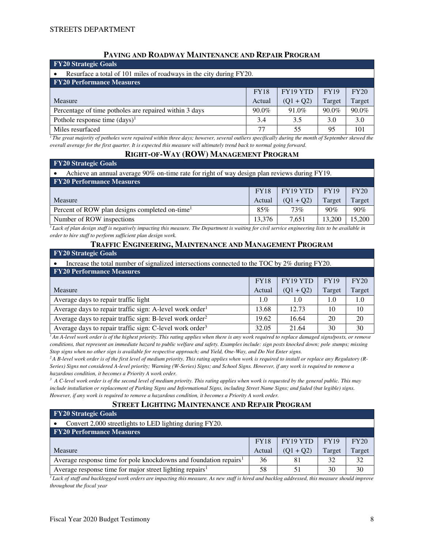# **PAVING AND ROADWAY MAINTENANCE AND REPAIR PROGRAM**

| $\overline{Y_2}$ Strategic Goals                                    |             |             |             |        |  |  |
|---------------------------------------------------------------------|-------------|-------------|-------------|--------|--|--|
| Resurface a total of 101 miles of roadways in the city during FY20. |             |             |             |        |  |  |
| <b>FY20 Performance Measures</b>                                    |             |             |             |        |  |  |
|                                                                     | <b>FY18</b> | FY19 YTD    | <b>FY19</b> | FY20   |  |  |
| Measure                                                             | Actual      | $(Q1 + Q2)$ | Target      | Target |  |  |
| Percentage of time potholes are repaired within 3 days              | $90.0\%$    | 91.0%       | $90.0\%$    | 90.0%  |  |  |
| Pothole response time $(days)^1$                                    | 3.4         | 3.5         | 3.0         | 3.0    |  |  |
| Miles resurfaced                                                    | 77          | 55          | 95          | 101    |  |  |

<sup>1</sup>*The great majority of potholes were repaired within three days; however, several outliers specifically during the month of September skewed the overall average for the first quarter. It is expected this measure will ultimately trend back to normal going forward.* 

### **RIGHT-OF-WAY (ROW) MANAGEMENT PROGRAM**

| <b>FY20 Strategic Goals</b>                                                                  |             |             |             |        |  |  |
|----------------------------------------------------------------------------------------------|-------------|-------------|-------------|--------|--|--|
| Achieve an annual average 90% on-time rate for right of way design plan reviews during FY19. |             |             |             |        |  |  |
| <b>FY20 Performance Measures</b>                                                             |             |             |             |        |  |  |
|                                                                                              | <b>FY18</b> | FY19 YTD    | <b>FY19</b> | FY20   |  |  |
| Measure                                                                                      | Actual      | $(Q1 + Q2)$ | Target      | Target |  |  |
| Percent of ROW plan designs completed on-time <sup>1</sup>                                   | 85%         | $73\%$      | 90%         | 90%    |  |  |
| Number of ROW inspections                                                                    | 13.376      | 7.651       | 13,200      | 15,200 |  |  |

 $\overline{I}$  Lack of plan design staff is negatively impacting this measure. The Department is waiting for civil service engineering lists to be available in *order to hire staff to perform sufficient plan design work.* 

#### **TRAFFIC ENGINEERING, MAINTENANCE AND MANAGEMENT PROGRAM**

| <b>FY20 Strategic Goals</b>                                                                   |             |             |             |        |  |  |
|-----------------------------------------------------------------------------------------------|-------------|-------------|-------------|--------|--|--|
| Increase the total number of signalized intersections connected to the TOC by 2% during FY20. |             |             |             |        |  |  |
| <b>FY20 Performance Measures</b>                                                              |             |             |             |        |  |  |
|                                                                                               | <b>FY18</b> | FY19 YTD    | <b>FY19</b> | FY20   |  |  |
| Measure                                                                                       | Actual      | $(Q1 + Q2)$ | Target      | Target |  |  |
| Average days to repair traffic light                                                          | 1.0         | 1.0         | 1.0         | 1.0    |  |  |
| Average days to repair traffic sign: A-level work order <sup>1</sup>                          | 13.68       | 12.73       | 10          | 10     |  |  |
| Average days to repair traffic sign: B-level work order <sup>2</sup>                          | 19.62       | 16.64       | 20          | 20     |  |  |
| Average days to repair traffic sign: C-level work order <sup>3</sup>                          | 32.05       | 21.64       | 30          | 30     |  |  |

<sup>1</sup>*An A-level work order is of the highest priority. This rating applies when there is any work required to replace damaged signs/posts, or remove conditions, that represent an immediate hazard to public welfare and safety. Examples include: sign posts knocked down; pole stumps; missing Stop signs when no other sign is available for respective approach; and Yield, One-Way, and Do Not Enter signs.* 

<sup>2</sup>A B-level work order is of the first level of medium priority. This rating applies when work is required to install or replace any Regulatory (R-*Series) Signs not considered A-level priority; Warning (W-Series) Signs; and School Signs. However, if any work is required to remove a hazardous condition, it becomes a Priority A work order.* 

<sup>3</sup> A C-level work order is of the second level of medium priority. This rating applies when work is requested by the general public. This may *include installation or replacement of Parking Signs and Informational Signs, including Street Name Signs; and faded (but legible) signs. However, if any work is required to remove a hazardous condition, it becomes a Priority A work order.* 

# **STREET LIGHTING MAINTENANCE AND REPAIR PROGRAM**

| <b>FY20 Strategic Goals</b>                                                   |             |             |             |        |  |  |  |  |
|-------------------------------------------------------------------------------|-------------|-------------|-------------|--------|--|--|--|--|
| Convert 2,000 streetlights to LED lighting during FY20.                       |             |             |             |        |  |  |  |  |
| <b>FY20 Performance Measures</b>                                              |             |             |             |        |  |  |  |  |
|                                                                               | <b>FY18</b> | FY19 YTD    | <b>FY19</b> | FY20   |  |  |  |  |
| Measure                                                                       | Actual      | $(Q1 + Q2)$ | Target      | Target |  |  |  |  |
| Average response time for pole knockdowns and foundation repairs <sup>1</sup> | 36          | 81          | 32          | 32     |  |  |  |  |
| Average response time for major street lighting repairs <sup>1</sup>          | 58          | 51          | 30          | 30     |  |  |  |  |

*<sup>1</sup>Lack of staff and backlogged work orders are impacting this measure. As new staff is hired and backlog addressed, this measure should improve throughout the fiscal year*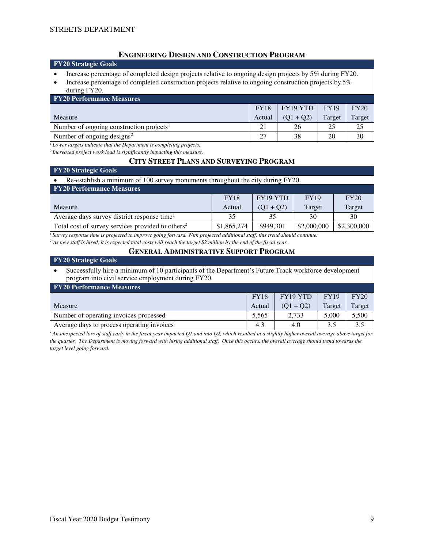## **ENGINEERING DESIGN AND CONSTRUCTION PROGRAM**

# **FY20 Strategic Goals**

- Increase percentage of completed design projects relative to ongoing design projects by 5% during FY20.
- Increase percentage of completed construction projects relative to ongoing construction projects by 5%
- during FY20.

| <b>FY20 Performance Measures</b>                     |             |             |             |        |  |  |  |
|------------------------------------------------------|-------------|-------------|-------------|--------|--|--|--|
|                                                      | <b>FY18</b> | FY19 YTD    | <b>FY19</b> | FY20   |  |  |  |
| Measure                                              | Actual      | $(01 + 02)$ | Target      | Target |  |  |  |
| Number of ongoing construction projects <sup>1</sup> |             | 26          | 25          | 25     |  |  |  |
| Number of ongoing designs <sup>2</sup>               |             | 38          | 20          | 30     |  |  |  |

*<sup>1</sup>Lower targets indicate that the Department is completing projects.* 

*<sup>2</sup>Increased project work load is significantly impacting this measure.* 

#### **CITY STREET PLANS AND SURVEYING PROGRAM**

| <b>FY20 Strategic Goals</b>                                                     |             |             |             |             |  |  |  |  |
|---------------------------------------------------------------------------------|-------------|-------------|-------------|-------------|--|--|--|--|
| Re-establish a minimum of 100 survey monuments throughout the city during FY20. |             |             |             |             |  |  |  |  |
| <b>FY20 Performance Measures</b>                                                |             |             |             |             |  |  |  |  |
| FY19 YTD<br><b>FY19</b><br>FY20<br><b>FY18</b>                                  |             |             |             |             |  |  |  |  |
| Measure                                                                         | Actual      | $(Q1 + Q2)$ | Target      | Target      |  |  |  |  |
| Average days survey district response time <sup>1</sup>                         | 35          | 35          | 30          | 30          |  |  |  |  |
| Total cost of survey services provided to others <sup>2</sup>                   | \$1,865,274 | \$949,301   | \$2,000,000 | \$2,300,000 |  |  |  |  |

*<sup>1</sup>Survey response time is projected to improve going forward. With projected additional staff, this trend should continue.* 

<sup>2</sup> As new staff is hired, it is expected total costs will reach the target \$2 million by the end of the fiscal year.

# **GENERAL ADMINISTRATIVE SUPPORT PROGRAM**

#### **FY20 Strategic Goals**

#### • Successfully hire a minimum of 10 participants of the Department's Future Track workforce development program into civil service employment during FY20.

| <b>FY20 Performance Measures</b>                        |             |             |             |        |  |  |  |
|---------------------------------------------------------|-------------|-------------|-------------|--------|--|--|--|
|                                                         | <b>FY18</b> | FY19 YTD    | <b>FY19</b> | FY20   |  |  |  |
| Measure                                                 | Actual      | $(01 + 02)$ | Target      | Target |  |  |  |
| Number of operating invoices processed                  | 5.565       | 2.733       | 5.000       | 5,500  |  |  |  |
| Average days to process operating invoices <sup>1</sup> | 4.3         | 4.0         | 3.5         |        |  |  |  |

<sup>1</sup>*An unexpected loss of staff early in the fiscal year impacted Q1 and into Q2, which resulted in a slightly higher overall average above target for the quarter. The Department is moving forward with hiring additional staff. Once this occurs, the overall average should trend towards the target level going forward.*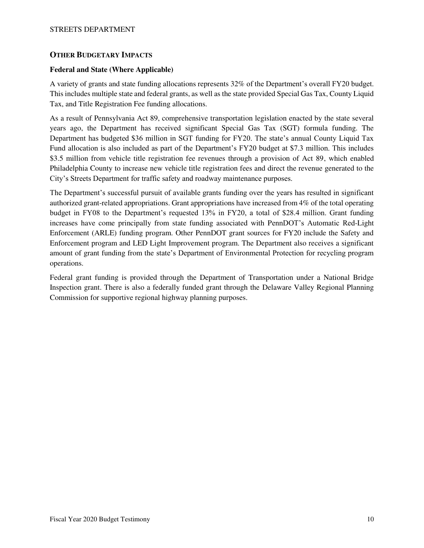## **OTHER BUDGETARY IMPACTS**

### **Federal and State (Where Applicable)**

A variety of grants and state funding allocations represents 32% of the Department's overall FY20 budget. This includes multiple state and federal grants, as well as the state provided Special Gas Tax, County Liquid Tax, and Title Registration Fee funding allocations.

As a result of Pennsylvania Act 89, comprehensive transportation legislation enacted by the state several years ago, the Department has received significant Special Gas Tax (SGT) formula funding. The Department has budgeted \$36 million in SGT funding for FY20. The state's annual County Liquid Tax Fund allocation is also included as part of the Department's FY20 budget at \$7.3 million. This includes \$3.5 million from vehicle title registration fee revenues through a provision of Act 89, which enabled Philadelphia County to increase new vehicle title registration fees and direct the revenue generated to the City's Streets Department for traffic safety and roadway maintenance purposes.

The Department's successful pursuit of available grants funding over the years has resulted in significant authorized grant-related appropriations. Grant appropriations have increased from 4% of the total operating budget in FY08 to the Department's requested 13% in FY20, a total of \$28.4 million. Grant funding increases have come principally from state funding associated with PennDOT's Automatic Red-Light Enforcement (ARLE) funding program. Other PennDOT grant sources for FY20 include the Safety and Enforcement program and LED Light Improvement program. The Department also receives a significant amount of grant funding from the state's Department of Environmental Protection for recycling program operations.

Federal grant funding is provided through the Department of Transportation under a National Bridge Inspection grant. There is also a federally funded grant through the Delaware Valley Regional Planning Commission for supportive regional highway planning purposes.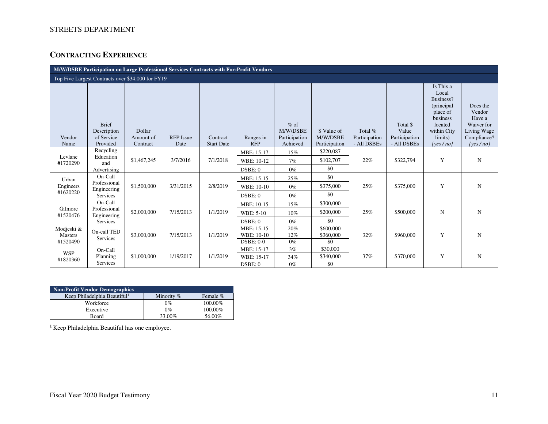# STREETS DEPARTMENT

# **CONTRACTING EXPERIENCE**

| M/W/DSBE Participation on Large Professional Services Contracts with For-Profit Vendors |                                                       |                                 |                          |                               |                                           |                                                 |                                          |                                         |                                                   |                                                                                                                             |                                                                                      |
|-----------------------------------------------------------------------------------------|-------------------------------------------------------|---------------------------------|--------------------------|-------------------------------|-------------------------------------------|-------------------------------------------------|------------------------------------------|-----------------------------------------|---------------------------------------------------|-----------------------------------------------------------------------------------------------------------------------------|--------------------------------------------------------------------------------------|
| Top Five Largest Contracts over \$34,000 for FY19                                       |                                                       |                                 |                          |                               |                                           |                                                 |                                          |                                         |                                                   |                                                                                                                             |                                                                                      |
| Vendor<br>Name                                                                          | <b>Brief</b><br>Description<br>of Service<br>Provided | Dollar<br>Amount of<br>Contract | <b>RFP</b> Issue<br>Date | Contract<br><b>Start Date</b> | Ranges in<br><b>RFP</b>                   | $%$ of<br>M/W/DSBE<br>Participation<br>Achieved | \$ Value of<br>M/W/DSBE<br>Participation | Total %<br>Participation<br>- All DSBEs | Total \$<br>Value<br>Participation<br>- All DSBEs | Is This a<br>Local<br>Business?<br>(principal)<br>place of<br>business<br>located<br>within City<br>limits)<br>[yes $/$ no] | Does the<br>Vendor<br>Have a<br>Waiver for<br>Living Wage<br>Compliance?<br>[yes/no] |
| Levlane<br>#1720290                                                                     | Recycling<br>Education<br>and<br>Advertising          | \$1,467,245                     | 3/7/2016                 | 7/1/2018                      | MBE: 15-17<br>WBE: 10-12<br>DSBE: 0       | 15%<br>7%<br>$0\%$                              | \$220,087<br>\$102,707<br>\$0            | 22%                                     | \$322,794                                         | Y                                                                                                                           | N                                                                                    |
| Urban<br>Engineers<br>#1620220                                                          | On-Call<br>Professional<br>Engineering<br>Services    | \$1,500,000                     | 3/31/2015                | 2/8/2019                      | MBE: 15-15<br>WBE: 10-10<br>DSBE: 0       | 25%<br>$0\%$<br>$0\%$                           | \$0<br>\$375,000<br>\$0                  | 25%                                     | \$375,000                                         | Y                                                                                                                           | N                                                                                    |
| Gilmore<br>#1520476                                                                     | On-Call<br>Professional<br>Engineering<br>Services    | \$2,000,000                     | 7/15/2013                | 1/1/2019                      | MBE: 10-15<br><b>WBE: 5-10</b><br>DSBE: 0 | 15%<br>10%<br>$0\%$                             | \$300,000<br>\$200,000<br>\$0            | 25%                                     | \$500,000                                         | ${\bf N}$                                                                                                                   | N                                                                                    |
| Modjeski &<br><b>Masters</b><br>#1520490                                                | On-call TED<br>Services                               | \$3,000,000                     | 7/15/2013                | 1/1/2019                      | MBE: 15-15<br>WBE: 10-10<br>$DSBE: 0-0$   | 20%<br>12%<br>$0\%$                             | \$600,000<br>\$360,000<br>\$0            | 32%                                     | \$960,000                                         | Y                                                                                                                           | $\mathbf N$                                                                          |
| <b>WSP</b><br>#1820360                                                                  | On-Call<br>Planning<br>Services                       | \$1,000,000                     | 1/19/2017                | 1/1/2019                      | MBE: 15-17<br>WBE: 15-17<br>DSBE: 0       | 3%<br>34%<br>$0\%$                              | \$30,000<br>\$340,000<br>\$0             | 37%                                     | \$370,000                                         | Y                                                                                                                           | N                                                                                    |

| Non-Profit Vendor Demographics           |              |          |  |  |  |
|------------------------------------------|--------------|----------|--|--|--|
| Keep Philadelphia Beautiful <sup>1</sup> | Minority $%$ | Female % |  |  |  |
| Workforce                                | $0\%$        | 100.00%  |  |  |  |
| Executive                                | $0\%$        | 100.00%  |  |  |  |
| Board                                    | 33.00%       | 56.00%   |  |  |  |

**1** Keep Philadelphia Beautiful has one employee.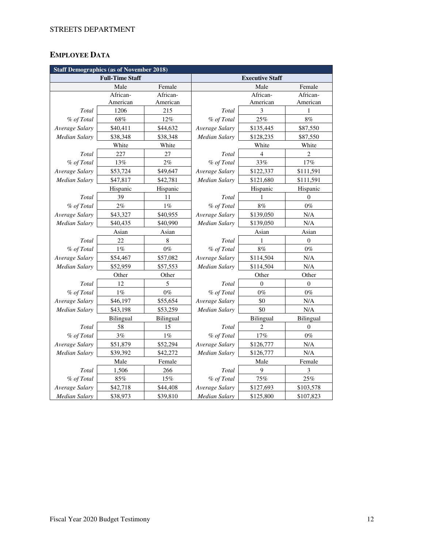# **EMPLOYEE DATA**

| <b>Staff Demographics (as of November 2018)</b> |                        |             |                        |                |                  |  |  |
|-------------------------------------------------|------------------------|-------------|------------------------|----------------|------------------|--|--|
|                                                 | <b>Full-Time Staff</b> |             | <b>Executive Staff</b> |                |                  |  |  |
|                                                 | Male                   | Female      |                        | Female         |                  |  |  |
|                                                 | African-               | African-    |                        | African-       | African-         |  |  |
|                                                 | American               | American    |                        | American       | American         |  |  |
| Total                                           | 1206                   | 215         | Total                  | 3              | 1                |  |  |
| % of Total                                      | 68%                    | 12%         | % of Total             | 25%            | 8%               |  |  |
| Average Salary                                  | \$40,411               | \$44,632    | Average Salary         | \$135,445      | \$87,550         |  |  |
| <b>Median Salary</b>                            | \$38,348               | \$38,348    | Median Salary          | \$128,235      | \$87,550         |  |  |
|                                                 | White                  | White       |                        | White          | White            |  |  |
| Total                                           | 227                    | 27          | Total                  | $\overline{4}$ | $\overline{c}$   |  |  |
| % of Total                                      | 13%                    | 2%          | % of Total             | 33%            | 17%              |  |  |
| Average Salary                                  | \$53,724               | \$49,647    | Average Salary         | \$122,337      | \$111,591        |  |  |
| Median Salary                                   | \$47,817               | \$42,781    | Median Salary          | \$121,680      | \$111,591        |  |  |
|                                                 | Hispanic               | Hispanic    |                        | Hispanic       | Hispanic         |  |  |
| Total                                           | 39                     | 11          | Total                  | 1              | $\theta$         |  |  |
| % of Total                                      | $2\%$                  | $1\%$       | % of Total             | 8%             | $0\%$            |  |  |
| Average Salary                                  | \$43,327               | \$40,955    | Average Salary         | \$139,050      | N/A              |  |  |
| <b>Median Salary</b>                            | \$40,435               | \$40,990    | <b>Median Salary</b>   | \$139,050      | $\rm N/A$        |  |  |
|                                                 | Asian                  | Asian       |                        | Asian          | Asian            |  |  |
| Total                                           | 22                     | $\,$ 8 $\,$ | Total                  | 1              | $\boldsymbol{0}$ |  |  |
| % of Total                                      | $1\%$                  | $0\%$       | % of Total             | 8%             | $0\%$            |  |  |
| Average Salary                                  | \$54,467               | \$57,082    | Average Salary         | \$114,504      | N/A              |  |  |
| <b>Median Salary</b>                            | \$52,959               | \$57,553    | Median Salary          | \$114,504      | N/A              |  |  |
|                                                 | Other                  | Other       | Other<br>Other         |                |                  |  |  |
| Total                                           | 12                     | 5           | Total                  | $\theta$       | $\overline{0}$   |  |  |
| % of Total                                      | $1\%$                  | $0\%$       | % of Total             | $0\%$          | $0\%$            |  |  |
| Average Salary                                  | \$46,197               | \$55,654    | Average Salary         | \$0            | N/A              |  |  |
| <b>Median Salary</b>                            | \$43,198               | \$53,259    | Median Salary          | \$0            | N/A              |  |  |
|                                                 | Bilingual              | Bilingual   |                        | Bilingual      | Bilingual        |  |  |
| Total                                           | 58                     | 15          | Total                  | 2              | $\overline{0}$   |  |  |
| % of Total                                      | 3%                     | $1\%$       | % of Total             | 17%            | $0\%$            |  |  |
| Average Salary                                  | \$51,879               | \$52,294    | Average Salary         | \$126,777      | N/A              |  |  |
| <b>Median Salary</b>                            | \$39,392               | \$42,272    | Median Salary          | \$126,777      | $\rm N/A$        |  |  |
|                                                 | Male                   | Female      |                        | Male           | Female           |  |  |
| Total                                           | 1,506                  | 266         | Total                  | 9              | 3                |  |  |
| % of Total                                      | $85\%$                 | 15%         | % of Total             | 75%            | 25%              |  |  |
| Average Salary                                  | \$42,718               | \$44,408    | Average Salary         | \$127,693      | \$103,578        |  |  |
| Median Salary                                   | \$38,973               | \$39,810    | <b>Median Salary</b>   | \$125,800      | \$107,823        |  |  |